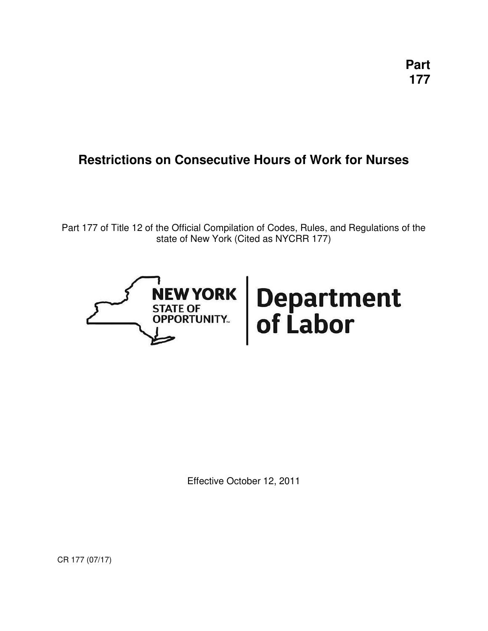# **Restrictions on Consecutive Hours of Work for Nurses**

Part 177 of Title 12 of the Official Compilation of Codes, Rules, and Regulations of the state of New York (Cited as NYCRR 177)



Effective October 12, 2011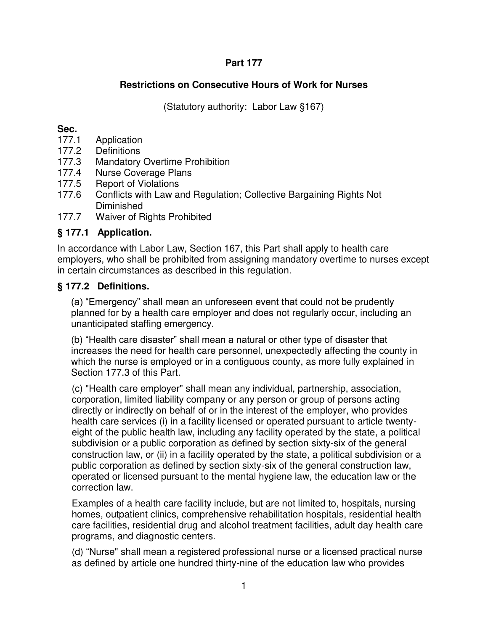#### **Part 177**

## **Restrictions on Consecutive Hours of Work for Nurses**

(Statutory authority: Labor Law §167)

#### **Sec.**

- 177.1 Application
- 177.2 Definitions
- 177.3 Mandatory Overtime Prohibition
- 177.4 Nurse Coverage Plans
- 177.5 Report of Violations
- 177.6 Conflicts with Law and Regulation; Collective Bargaining Rights Not **Diminished**
- 177.7 Waiver of Rights Prohibited

## **§ 177.1 Application.**

In accordance with Labor Law, Section 167, this Part shall apply to health care employers, who shall be prohibited from assigning mandatory overtime to nurses except in certain circumstances as described in this regulation.

#### **§ 177.2 Definitions.**

(a) "Emergency" shall mean an unforeseen event that could not be prudently planned for by a health care employer and does not regularly occur, including an unanticipated staffing emergency.

(b) "Health care disaster" shall mean a natural or other type of disaster that increases the need for health care personnel, unexpectedly affecting the county in which the nurse is employed or in a contiguous county, as more fully explained in Section 177.3 of this Part.

(c) "Health care employer" shall mean any individual, partnership, association, corporation, limited liability company or any person or group of persons acting directly or indirectly on behalf of or in the interest of the employer, who provides health care services (i) in a facility licensed or operated pursuant to article twentyeight of the public health law, including any facility operated by the state, a political subdivision or a public corporation as defined by section sixty-six of the general construction law, or (ii) in a facility operated by the state, a political subdivision or a public corporation as defined by section sixty-six of the general construction law, operated or licensed pursuant to the mental hygiene law, the education law or the correction law.

Examples of a health care facility include, but are not limited to, hospitals, nursing homes, outpatient clinics, comprehensive rehabilitation hospitals, residential health care facilities, residential drug and alcohol treatment facilities, adult day health care programs, and diagnostic centers.

(d) "Nurse" shall mean a registered professional nurse or a licensed practical nurse as defined by article one hundred thirty-nine of the education law who provides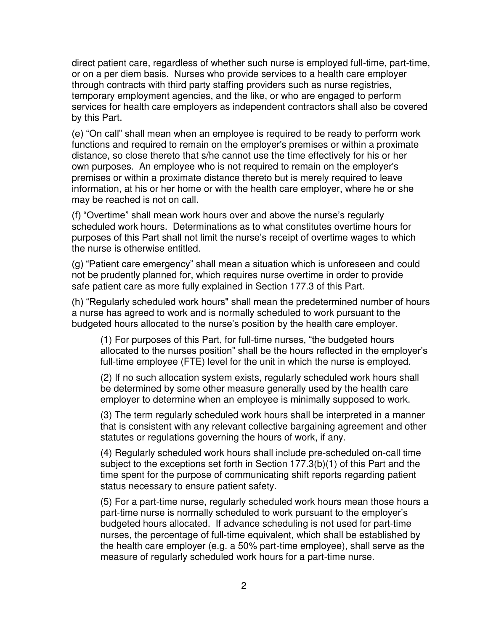direct patient care, regardless of whether such nurse is employed full-time, part-time, or on a per diem basis. Nurses who provide services to a health care employer through contracts with third party staffing providers such as nurse registries, temporary employment agencies, and the like, or who are engaged to perform services for health care employers as independent contractors shall also be covered by this Part.

(e) "On call" shall mean when an employee is required to be ready to perform work functions and required to remain on the employer's premises or within a proximate distance, so close thereto that s/he cannot use the time effectively for his or her own purposes. An employee who is not required to remain on the employer's premises or within a proximate distance thereto but is merely required to leave information, at his or her home or with the health care employer, where he or she may be reached is not on call.

(f) "Overtime" shall mean work hours over and above the nurse's regularly scheduled work hours. Determinations as to what constitutes overtime hours for purposes of this Part shall not limit the nurse's receipt of overtime wages to which the nurse is otherwise entitled.

(g) "Patient care emergency" shall mean a situation which is unforeseen and could not be prudently planned for, which requires nurse overtime in order to provide safe patient care as more fully explained in Section 177.3 of this Part.

(h) "Regularly scheduled work hours" shall mean the predetermined number of hours a nurse has agreed to work and is normally scheduled to work pursuant to the budgeted hours allocated to the nurse's position by the health care employer.

(1) For purposes of this Part, for full-time nurses, "the budgeted hours allocated to the nurses position" shall be the hours reflected in the employer's full-time employee (FTE) level for the unit in which the nurse is employed.

(2) If no such allocation system exists, regularly scheduled work hours shall be determined by some other measure generally used by the health care employer to determine when an employee is minimally supposed to work.

(3) The term regularly scheduled work hours shall be interpreted in a manner that is consistent with any relevant collective bargaining agreement and other statutes or regulations governing the hours of work, if any.

(4) Regularly scheduled work hours shall include pre-scheduled on-call time subject to the exceptions set forth in Section 177.3(b)(1) of this Part and the time spent for the purpose of communicating shift reports regarding patient status necessary to ensure patient safety.

(5) For a part-time nurse, regularly scheduled work hours mean those hours a part-time nurse is normally scheduled to work pursuant to the employer's budgeted hours allocated. If advance scheduling is not used for part-time nurses, the percentage of full-time equivalent, which shall be established by the health care employer (e.g. a 50% part-time employee), shall serve as the measure of regularly scheduled work hours for a part-time nurse.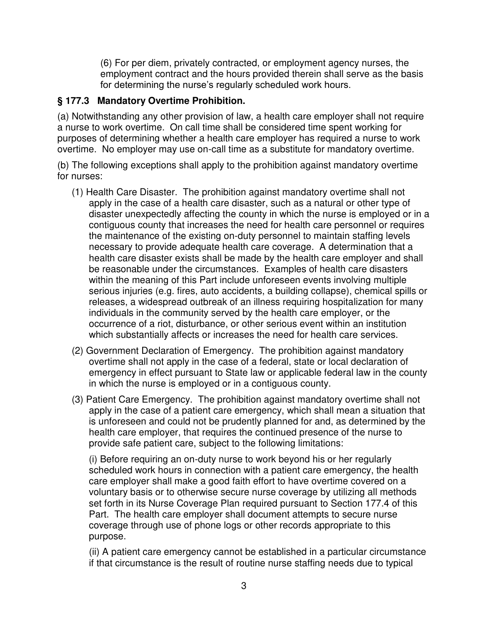(6) For per diem, privately contracted, or employment agency nurses, the employment contract and the hours provided therein shall serve as the basis for determining the nurse's regularly scheduled work hours.

#### **§ 177.3 Mandatory Overtime Prohibition.**

(a) Notwithstanding any other provision of law, a health care employer shall not require a nurse to work overtime. On call time shall be considered time spent working for purposes of determining whether a health care employer has required a nurse to work overtime. No employer may use on-call time as a substitute for mandatory overtime.

(b) The following exceptions shall apply to the prohibition against mandatory overtime for nurses:

- (1) Health Care Disaster. The prohibition against mandatory overtime shall not apply in the case of a health care disaster, such as a natural or other type of disaster unexpectedly affecting the county in which the nurse is employed or in a contiguous county that increases the need for health care personnel or requires the maintenance of the existing on-duty personnel to maintain staffing levels necessary to provide adequate health care coverage. A determination that a health care disaster exists shall be made by the health care employer and shall be reasonable under the circumstances. Examples of health care disasters within the meaning of this Part include unforeseen events involving multiple serious injuries (e.g. fires, auto accidents, a building collapse), chemical spills or releases, a widespread outbreak of an illness requiring hospitalization for many individuals in the community served by the health care employer, or the occurrence of a riot, disturbance, or other serious event within an institution which substantially affects or increases the need for health care services.
- (2) Government Declaration of Emergency. The prohibition against mandatory overtime shall not apply in the case of a federal, state or local declaration of emergency in effect pursuant to State law or applicable federal law in the county in which the nurse is employed or in a contiguous county.
- (3) Patient Care Emergency. The prohibition against mandatory overtime shall not apply in the case of a patient care emergency, which shall mean a situation that is unforeseen and could not be prudently planned for and, as determined by the health care employer, that requires the continued presence of the nurse to provide safe patient care, subject to the following limitations:

(i) Before requiring an on-duty nurse to work beyond his or her regularly scheduled work hours in connection with a patient care emergency, the health care employer shall make a good faith effort to have overtime covered on a voluntary basis or to otherwise secure nurse coverage by utilizing all methods set forth in its Nurse Coverage Plan required pursuant to Section 177.4 of this Part. The health care employer shall document attempts to secure nurse coverage through use of phone logs or other records appropriate to this purpose.

(ii) A patient care emergency cannot be established in a particular circumstance if that circumstance is the result of routine nurse staffing needs due to typical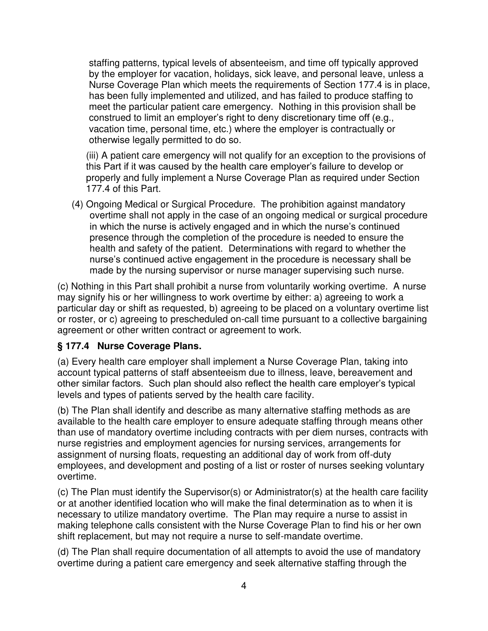staffing patterns, typical levels of absenteeism, and time off typically approved by the employer for vacation, holidays, sick leave, and personal leave, unless a Nurse Coverage Plan which meets the requirements of Section 177.4 is in place, has been fully implemented and utilized, and has failed to produce staffing to meet the particular patient care emergency. Nothing in this provision shall be construed to limit an employer's right to deny discretionary time off (e.g., vacation time, personal time, etc.) where the employer is contractually or otherwise legally permitted to do so.

(iii) A patient care emergency will not qualify for an exception to the provisions of this Part if it was caused by the health care employer's failure to develop or properly and fully implement a Nurse Coverage Plan as required under Section 177.4 of this Part.

(4) Ongoing Medical or Surgical Procedure. The prohibition against mandatory overtime shall not apply in the case of an ongoing medical or surgical procedure in which the nurse is actively engaged and in which the nurse's continued presence through the completion of the procedure is needed to ensure the health and safety of the patient. Determinations with regard to whether the nurse's continued active engagement in the procedure is necessary shall be made by the nursing supervisor or nurse manager supervising such nurse.

(c) Nothing in this Part shall prohibit a nurse from voluntarily working overtime. A nurse may signify his or her willingness to work overtime by either: a) agreeing to work a particular day or shift as requested, b) agreeing to be placed on a voluntary overtime list or roster, or c) agreeing to prescheduled on-call time pursuant to a collective bargaining agreement or other written contract or agreement to work.

#### **§ 177.4 Nurse Coverage Plans.**

(a) Every health care employer shall implement a Nurse Coverage Plan, taking into account typical patterns of staff absenteeism due to illness, leave, bereavement and other similar factors. Such plan should also reflect the health care employer's typical levels and types of patients served by the health care facility.

(b) The Plan shall identify and describe as many alternative staffing methods as are available to the health care employer to ensure adequate staffing through means other than use of mandatory overtime including contracts with per diem nurses, contracts with nurse registries and employment agencies for nursing services, arrangements for assignment of nursing floats, requesting an additional day of work from off-duty employees, and development and posting of a list or roster of nurses seeking voluntary overtime.

(c) The Plan must identify the Supervisor(s) or Administrator(s) at the health care facility or at another identified location who will make the final determination as to when it is necessary to utilize mandatory overtime. The Plan may require a nurse to assist in making telephone calls consistent with the Nurse Coverage Plan to find his or her own shift replacement, but may not require a nurse to self-mandate overtime.

(d) The Plan shall require documentation of all attempts to avoid the use of mandatory overtime during a patient care emergency and seek alternative staffing through the